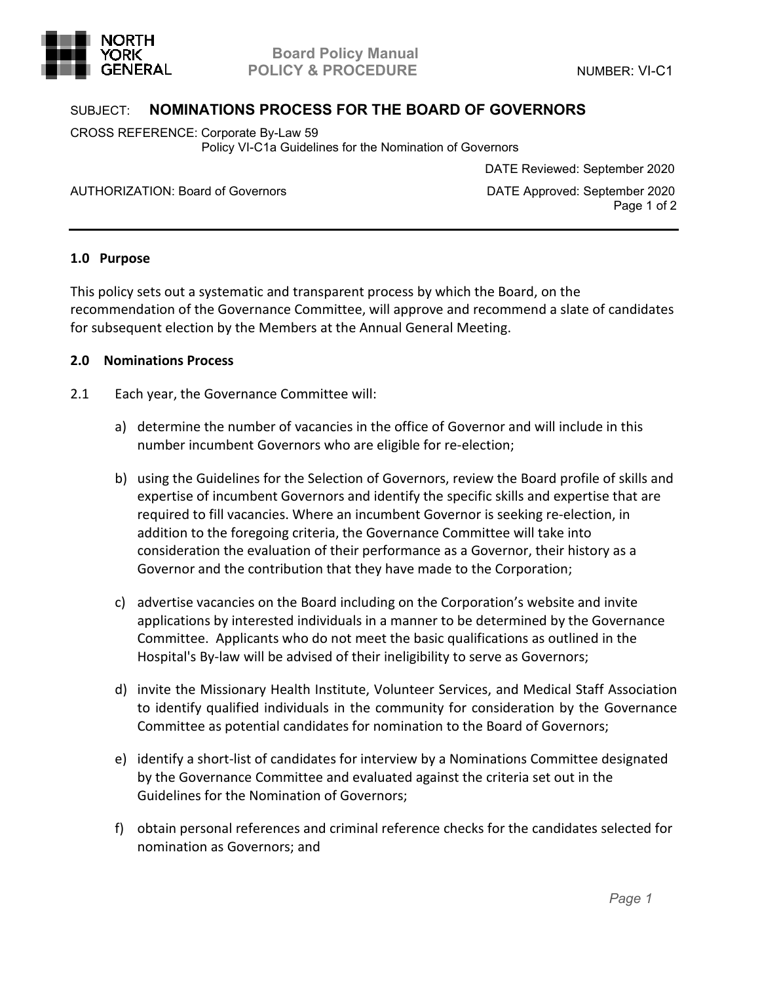

## SUBJECT: **NOMINATIONS PROCESS FOR THE BOARD OF GOVERNORS**

CROSS REFERENCE: Corporate By-Law 59 Policy VI-C1a Guidelines for the Nomination of Governors

AUTHORIZATION: Board of Governors **DATE Approved: September 2020** 

DATE Reviewed: September 2020

Page 1 of 2

## **1.0 Purpose**

This policy sets out a systematic and transparent process by which the Board, on the recommendation of the Governance Committee, will approve and recommend a slate of candidates for subsequent election by the Members at the Annual General Meeting.

## **2.0 Nominations Process**

- 2.1 Each year, the Governance Committee will:
	- a) determine the number of vacancies in the office of Governor and will include in this number incumbent Governors who are eligible for re-election;
	- b) using the Guidelines for the Selection of Governors, review the Board profile of skills and expertise of incumbent Governors and identify the specific skills and expertise that are required to fill vacancies. Where an incumbent Governor is seeking re-election, in addition to the foregoing criteria, the Governance Committee will take into consideration the evaluation of their performance as a Governor, their history as a Governor and the contribution that they have made to the Corporation;
	- c) advertise vacancies on the Board including on the Corporation's website and invite applications by interested individuals in a manner to be determined by the Governance Committee. Applicants who do not meet the basic qualifications as outlined in the Hospital's By-law will be advised of their ineligibility to serve as Governors;
	- d) invite the Missionary Health Institute, Volunteer Services, and Medical Staff Association to identify qualified individuals in the community for consideration by the Governance Committee as potential candidates for nomination to the Board of Governors;
	- e) identify a short-list of candidates for interview by a Nominations Committee designated by the Governance Committee and evaluated against the criteria set out in the Guidelines for the Nomination of Governors;
	- f) obtain personal references and criminal reference checks for the candidates selected for nomination as Governors; and